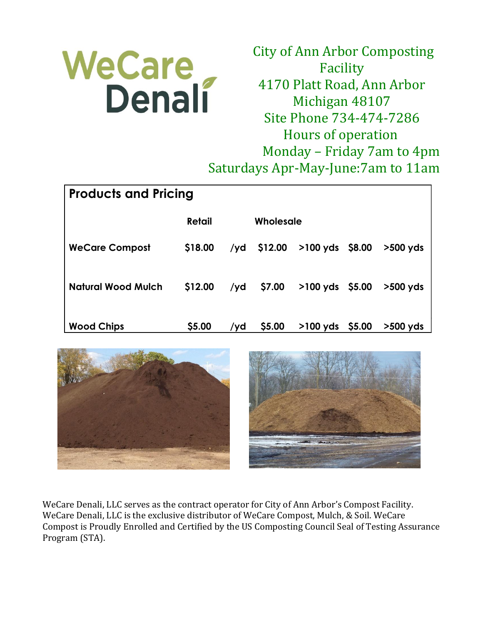

City of Ann Arbor Composting Facility 4170 Platt Road, Ann Arbor Michigan 48107 Site Phone 734-474-7286 Hours of operation Monday – Friday 7am to 4pm Saturdays Apr-May-June:7am to 11am

| <b>Products and Pricing</b> |               |     |             |                           |  |            |  |
|-----------------------------|---------------|-----|-------------|---------------------------|--|------------|--|
|                             | <b>Retail</b> |     | Wholesale   |                           |  |            |  |
| <b>WeCare Compost</b>       | \$18.00       |     | /yd \$12.00 | $>100 \text{ yds}$ \$8.00 |  | $>500$ yds |  |
| <b>Natural Wood Mulch</b>   | \$12.00       | /yd | \$7.00      | $>100 \text{ yds}$ \$5.00 |  | $>500$ yds |  |
| <b>Wood Chips</b>           | \$5.00        | /yd | \$5.00      | $>100 \text{ yds}$ \$5.00 |  | $>500$ yds |  |



WeCare Denali, LLC serves as the contract operator for City of Ann Arbor's Compost Facility. WeCare Denali, LLC is the exclusive distributor of WeCare Compost, Mulch, & Soil. WeCare Compost is Proudly Enrolled and Certified by the US Composting Council Seal of Testing Assurance Program (STA).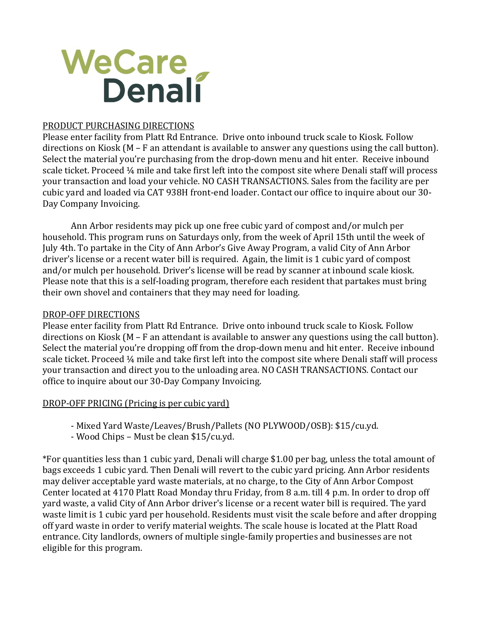

## PRODUCT PURCHASING DIRECTIONS

Please enter facility from Platt Rd Entrance. Drive onto inbound truck scale to Kiosk. Follow directions on Kiosk (M – F an attendant is available to answer any questions using the call button). Select the material you're purchasing from the drop-down menu and hit enter. Receive inbound scale ticket. Proceed ¼ mile and take first left into the compost site where Denali staff will process your transaction and load your vehicle. NO CASH TRANSACTIONS. Sales from the facility are per cubic yard and loaded via CAT 938H front-end loader. Contact our office to inquire about our 30- Day Company Invoicing.

Ann Arbor residents may pick up one free cubic yard of compost and/or mulch per household. This program runs on Saturdays only, from the week of April 15th until the week of July 4th. To partake in the City of Ann Arbor's Give Away Program, a valid City of Ann Arbor driver's license or a recent water bill is required. Again, the limit is 1 cubic yard of compost and/or mulch per household. Driver's license will be read by scanner at inbound scale kiosk. Please note that this is a self-loading program, therefore each resident that partakes must bring their own shovel and containers that they may need for loading.

## DROP-OFF DIRECTIONS

Please enter facility from Platt Rd Entrance. Drive onto inbound truck scale to Kiosk. Follow directions on Kiosk (M – F an attendant is available to answer any questions using the call button). Select the material you're dropping off from the drop-down menu and hit enter. Receive inbound scale ticket. Proceed ¼ mile and take first left into the compost site where Denali staff will process your transaction and direct you to the unloading area. NO CASH TRANSACTIONS. Contact our office to inquire about our 30-Day Company Invoicing.

## DROP-OFF PRICING (Pricing is per cubic yard)

- Mixed Yard Waste/Leaves/Brush/Pallets (NO PLYWOOD/OSB): \$15/cu.yd.
- Wood Chips Must be clean \$15/cu.yd.

\*For quantities less than 1 cubic yard, Denali will charge \$1.00 per bag, unless the total amount of bags exceeds 1 cubic yard. Then Denali will revert to the cubic yard pricing. Ann Arbor residents may deliver acceptable yard waste materials, at no charge, to the City of Ann Arbor Compost Center located at 4170 Platt Road Monday thru Friday, from 8 a.m. till 4 p.m. In order to drop off yard waste, a valid City of Ann Arbor driver's license or a recent water bill is required. The yard waste limit is 1 cubic yard per household. Residents must visit the scale before and after dropping off yard waste in order to verify material weights. The scale house is located at the Platt Road entrance. City landlords, owners of multiple single-family properties and businesses are not eligible for this program.